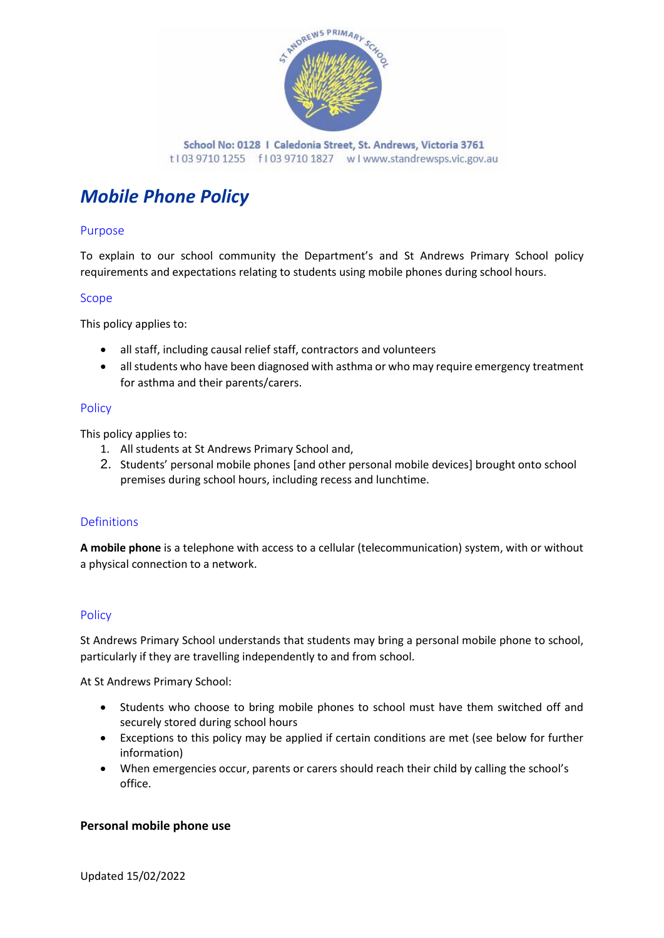

# *Mobile Phone Policy*

## Purpose

To explain to our school community the Department's and St Andrews Primary School policy requirements and expectations relating to students using mobile phones during school hours.

#### Scope

This policy applies to:

- all staff, including causal relief staff, contractors and volunteers
- all students who have been diagnosed with asthma or who may require emergency treatment for asthma and their parents/carers.

#### Policy

This policy applies to:

- 1. All students at St Andrews Primary School and,
- 2. Students' personal mobile phones [and other personal mobile devices] brought onto school premises during school hours, including recess and lunchtime.

## Definitions

**A mobile phone** is a telephone with access to a cellular (telecommunication) system, with or without a physical connection to a network.

## **Policy**

St Andrews Primary School understands that students may bring a personal mobile phone to school, particularly if they are travelling independently to and from school.

At St Andrews Primary School:

- Students who choose to bring mobile phones to school must have them switched off and securely stored during school hours
- Exceptions to this policy may be applied if certain conditions are met (see below for further information)
- When emergencies occur, parents or carers should reach their child by calling the school's office.

## **Personal mobile phone use**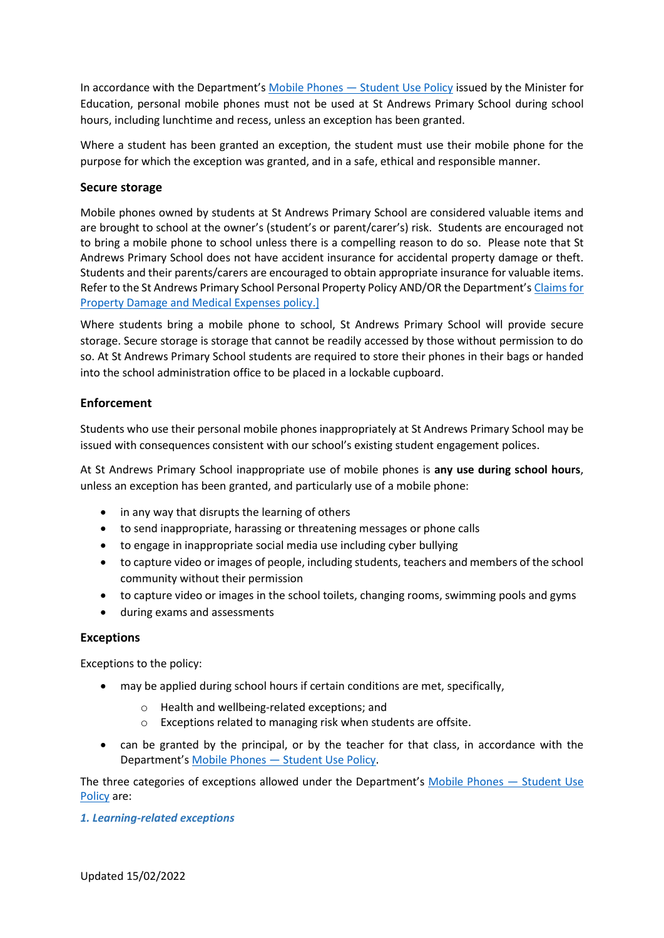In accordance with the Department's [Mobile Phones](https://www2.education.vic.gov.au/pal/students-using-mobile-phones/policy) - Student Use Policy issued by the Minister for Education, personal mobile phones must not be used at St Andrews Primary School during school hours, including lunchtime and recess, unless an exception has been granted.

Where a student has been granted an exception, the student must use their mobile phone for the purpose for which the exception was granted, and in a safe, ethical and responsible manner.

## **Secure storage**

Mobile phones owned by students at St Andrews Primary School are considered valuable items and are brought to school at the owner's (student's or parent/carer's) risk. Students are encouraged not to bring a mobile phone to school unless there is a compelling reason to do so. Please note that St Andrews Primary School does not have accident insurance for accidental property damage or theft. Students and their parents/carers are encouraged to obtain appropriate insurance for valuable items. Refer to the St Andrews Primary School Personal Property Policy AND/OR the Department's [Claims for](https://www2.education.vic.gov.au/pal/claims-property-damage-and-medical-expenses/policy)  [Property Damage and Medical Expenses](https://www2.education.vic.gov.au/pal/claims-property-damage-and-medical-expenses/policy) policy.]

Where students bring a mobile phone to school, St Andrews Primary School will provide secure storage. Secure storage is storage that cannot be readily accessed by those without permission to do so. At St Andrews Primary School students are required to store their phones in their bags or handed into the school administration office to be placed in a lockable cupboard.

## **Enforcement**

Students who use their personal mobile phones inappropriately at St Andrews Primary School may be issued with consequences consistent with our school's existing student engagement polices.

At St Andrews Primary School inappropriate use of mobile phones is **any use during school hours**, unless an exception has been granted, and particularly use of a mobile phone:

- in any way that disrupts the learning of others
- to send inappropriate, harassing or threatening messages or phone calls
- to engage in inappropriate social media use including cyber bullying
- to capture video or images of people, including students, teachers and members of the school community without their permission
- to capture video or images in the school toilets, changing rooms, swimming pools and gyms
- during exams and assessments

#### **Exceptions**

Exceptions to the policy:

- may be applied during school hours if certain conditions are met, specifically,
	- o Health and wellbeing-related exceptions; and
	- o Exceptions related to managing risk when students are offsite.
- can be granted by the principal, or by the teacher for that class, in accordance with the Department's Mobile Phones — [Student Use Policy.](https://www2.education.vic.gov.au/pal/students-using-mobile-phones/policy)

The three categories of exceptions allowed under the Department's [Mobile Phones](https://www2.education.vic.gov.au/pal/students-using-mobile-phones/policy) — Student Use [Policy](https://www2.education.vic.gov.au/pal/students-using-mobile-phones/policy) are:

#### *1. Learning-related exceptions*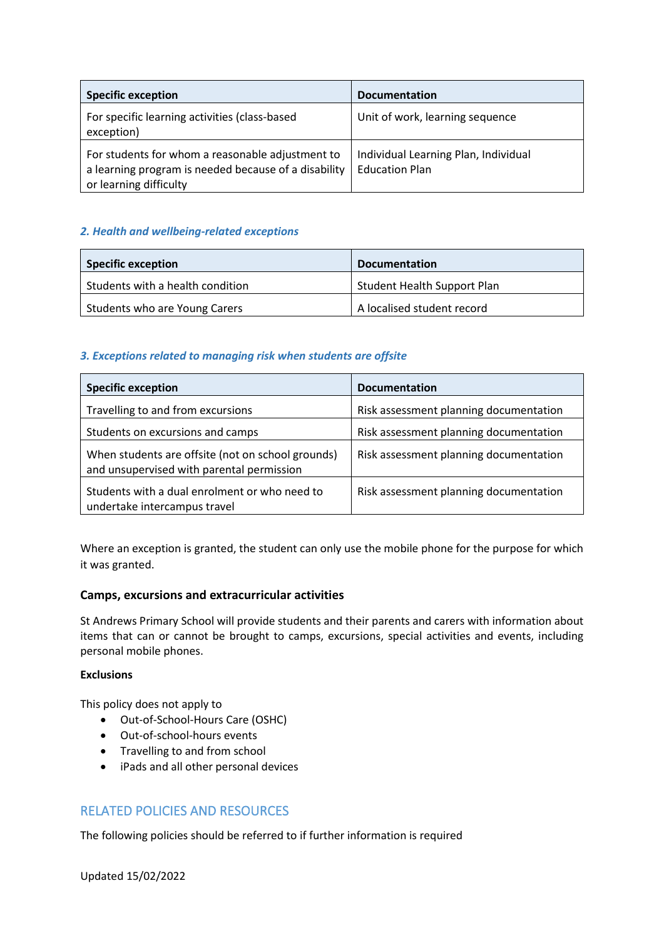| <b>Specific exception</b>                                                                                                          | <b>Documentation</b>                                          |
|------------------------------------------------------------------------------------------------------------------------------------|---------------------------------------------------------------|
| For specific learning activities (class-based<br>exception)                                                                        | Unit of work, learning sequence                               |
| For students for whom a reasonable adjustment to<br>a learning program is needed because of a disability<br>or learning difficulty | Individual Learning Plan, Individual<br><b>Education Plan</b> |

## *2. Health and wellbeing-related exceptions*

| <b>Specific exception</b>        | <b>Documentation</b>               |
|----------------------------------|------------------------------------|
| Students with a health condition | <b>Student Health Support Plan</b> |
| Students who are Young Carers    | A localised student record         |

## *3. Exceptions related to managing risk when students are offsite*

| <b>Specific exception</b>                                                                      | <b>Documentation</b>                   |
|------------------------------------------------------------------------------------------------|----------------------------------------|
| Travelling to and from excursions                                                              | Risk assessment planning documentation |
| Students on excursions and camps                                                               | Risk assessment planning documentation |
| When students are offsite (not on school grounds)<br>and unsupervised with parental permission | Risk assessment planning documentation |
| Students with a dual enrolment or who need to<br>undertake intercampus travel                  | Risk assessment planning documentation |

Where an exception is granted, the student can only use the mobile phone for the purpose for which it was granted.

## **Camps, excursions and extracurricular activities**

St Andrews Primary School will provide students and their parents and carers with information about items that can or cannot be brought to camps, excursions, special activities and events, including personal mobile phones.

#### **Exclusions**

This policy does not apply to

- Out-of-School-Hours Care (OSHC)
- Out-of-school-hours events
- Travelling to and from school
- iPads and all other personal devices

## RELATED POLICIES AND RESOURCES

The following policies should be referred to if further information is required